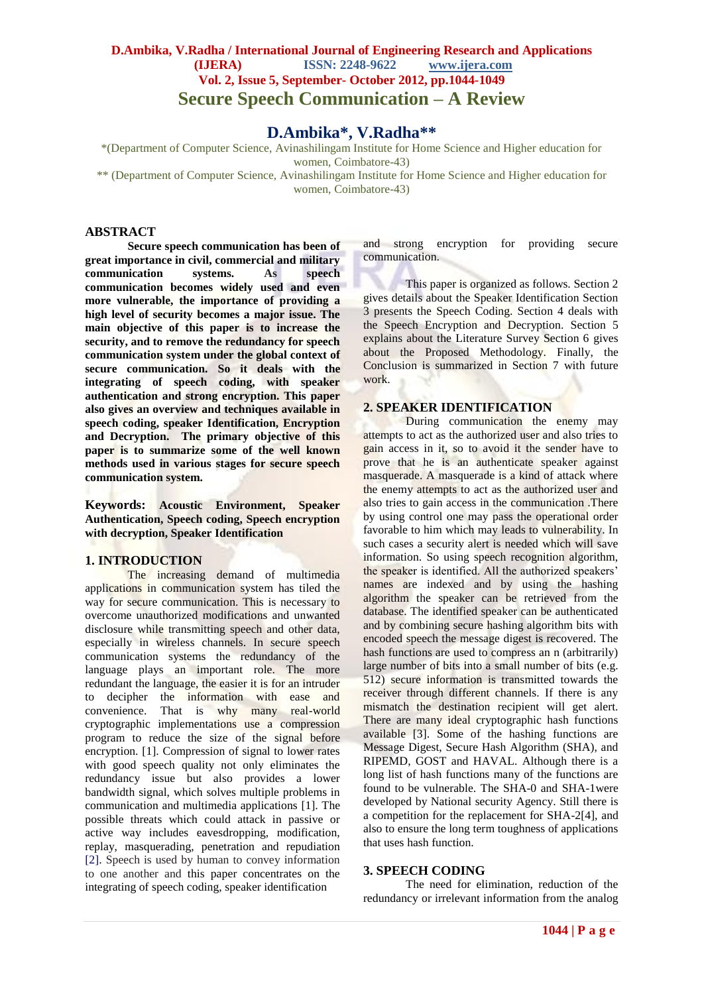# **D.Ambika, V.Radha / International Journal of Engineering Research and Applications (IJERA) ISSN: 2248-9622 www.ijera.com Vol. 2, Issue 5, September- October 2012, pp.1044-1049 Secure Speech Communication – A Review**

# **D.Ambika\*, V.Radha\*\***

\*(Department of Computer Science, Avinashilingam Institute for Home Science and Higher education for women, Coimbatore-43)

\*\* (Department of Computer Science, Avinashilingam Institute for Home Science and Higher education for women, Coimbatore-43)

#### **ABSTRACT**

**Secure speech communication has been of great importance in civil, commercial and military communication systems. As speech communication becomes widely used and even more vulnerable, the importance of providing a high level of security becomes a major issue. The main objective of this paper is to increase the security, and to remove the redundancy for speech communication system under the global context of secure communication. So it deals with the integrating of speech coding, with speaker authentication and strong encryption. This paper also gives an overview and techniques available in speech coding, speaker Identification, Encryption and Decryption. The primary objective of this paper is to summarize some of the well known methods used in various stages for secure speech communication system.**

**Keywords: Acoustic Environment, Speaker Authentication, Speech coding, Speech encryption with decryption, Speaker Identification**

#### **1. INTRODUCTION**

The increasing demand of multimedia applications in communication system has tiled the way for secure communication. This is necessary to overcome unauthorized modifications and unwanted disclosure while transmitting speech and other data, especially in wireless channels. In secure speech communication systems the redundancy of the language plays an important role. The more redundant the language, the easier it is for an intruder to decipher the information with ease and convenience. That is why many real-world cryptographic implementations use a compression program to reduce the size of the signal before encryption. [1]. Compression of signal to lower rates with good speech quality not only eliminates the redundancy issue but also provides a lower bandwidth signal, which solves multiple problems in communication and multimedia applications [1]. The possible threats which could attack in passive or active way includes eavesdropping, modification, replay, masquerading, penetration and repudiation [2]. Speech is used by human to convey information to one another and this paper concentrates on the integrating of speech coding, speaker identification

and strong encryption for providing secure communication.

This paper is organized as follows. Section 2 gives details about the Speaker Identification Section 3 presents the Speech Coding. Section 4 deals with the Speech Encryption and Decryption. Section 5 explains about the Literature Survey Section 6 gives about the Proposed Methodology. Finally, the Conclusion is summarized in Section 7 with future work.

## **2. SPEAKER IDENTIFICATION**

During communication the enemy may attempts to act as the authorized user and also tries to gain access in it, so to avoid it the sender have to prove that he is an authenticate speaker against masquerade. A masquerade is a kind of attack where the enemy attempts to act as the authorized user and also tries to gain access in the communication .There by using control one may pass the operational order favorable to him which may leads to vulnerability. In such cases a security alert is needed which will save information. So using speech recognition algorithm, the speaker is identified. All the authorized speakers' names are indexed and by using the hashing algorithm the speaker can be retrieved from the database. The identified speaker can be authenticated and by combining secure hashing algorithm bits with encoded speech the message digest is recovered. The hash functions are used to compress an n (arbitrarily) large number of bits into a small number of bits (e.g. 512) secure information is transmitted towards the receiver through different channels. If there is any mismatch the destination recipient will get alert. There are many ideal cryptographic hash functions available [3]. Some of the hashing functions are Message Digest, Secure Hash Algorithm (SHA), and RIPEMD, GOST and HAVAL. Although there is a long list of hash functions many of the functions are found to be vulnerable. The SHA-0 and SHA-1were developed by National security Agency. Still there is a competition for the replacement for SHA-2[4], and also to ensure the long term toughness of applications that uses hash function.

#### **3. SPEECH CODING**

The need for elimination, reduction of the redundancy or irrelevant information from the analog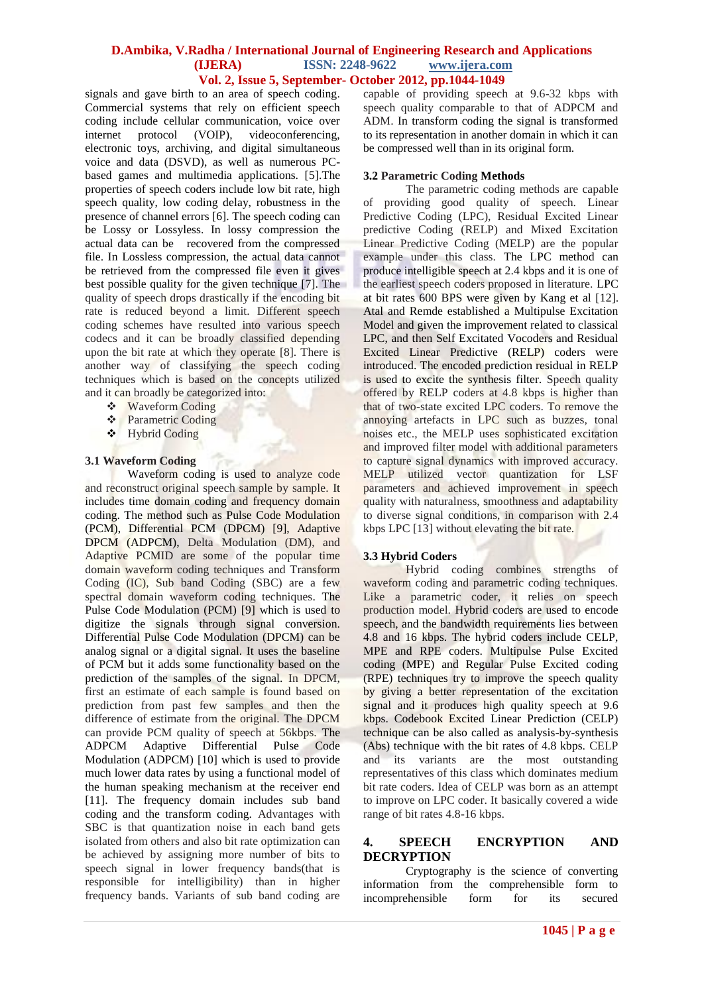signals and gave birth to an area of speech coding. Commercial systems that rely on efficient speech coding include cellular communication, voice over<br>internet protocol (VOIP), videoconferencing, internet protocol (VOIP), videoconferencing, electronic toys, archiving, and digital simultaneous voice and data (DSVD), as well as numerous PCbased games and multimedia applications. [5].The properties of speech coders include low bit rate, high speech quality, low coding delay, robustness in the presence of channel errors [6]. The speech coding can be Lossy or Lossyless. In lossy compression the actual data can be recovered from the compressed file. In Lossless compression, the actual data cannot be retrieved from the compressed file even it gives best possible quality for the given technique [7]. The quality of speech drops drastically if the encoding bit rate is reduced beyond a limit. Different speech coding schemes have resulted into various speech codecs and it can be broadly classified depending upon the bit rate at which they operate [8]. There is another way of classifying the speech coding techniques which is based on the concepts utilized and it can broadly be categorized into:

- **❖** Waveform Coding
- Parametric Coding
- Hybrid Coding

#### **3.1 Waveform Coding**

Waveform coding is used to analyze code and reconstruct original speech sample by sample. It includes time domain coding and frequency domain coding. The method such as Pulse Code Modulation (PCM), Differential PCM (DPCM) [9], Adaptive DPCM (ADPCM), Delta Modulation (DM), and Adaptive PCMID are some of the popular time domain waveform coding techniques and Transform Coding (IC), Sub band Coding (SBC) are a few spectral domain waveform coding techniques. The Pulse Code Modulation (PCM) [9] which is used to digitize the signals through signal conversion. Differential Pulse Code Modulation (DPCM) can be analog signal or a digital signal. It uses the baseline of PCM but it adds some functionality based on the prediction of the samples of the signal. In DPCM, first an estimate of each sample is found based on prediction from past few samples and then the difference of estimate from the original. The DPCM can provide PCM quality of speech at 56kbps. The ADPCM Adaptive Differential Pulse Code Modulation (ADPCM) [10] which is used to provide much lower data rates by using a functional model of the human speaking mechanism at the receiver end [11]. The frequency domain includes sub band coding and the transform coding. Advantages with SBC is that quantization noise in each band gets isolated from others and also bit rate optimization can be achieved by assigning more number of bits to speech signal in lower frequency bands(that is responsible for intelligibility) than in higher frequency bands. Variants of sub band coding are

capable of providing speech at 9.6-32 kbps with speech quality comparable to that of ADPCM and ADM. In transform coding the signal is transformed to its representation in another domain in which it can be compressed well than in its original form.

#### **3.2 Parametric Coding Methods**

The parametric coding methods are capable of providing good quality of speech. Linear Predictive Coding (LPC), Residual Excited Linear predictive Coding (RELP) and Mixed Excitation Linear Predictive Coding (MELP) are the popular example under this class. The LPC method can produce intelligible speech at 2.4 kbps and it is one of the earliest speech coders proposed in literature. LPC at bit rates 600 BPS were given by Kang et al [12]. Atal and Remde established a Multipulse Excitation Model and given the improvement related to classical LPC, and then Self Excitated Vocoders and Residual Excited Linear Predictive (RELP) coders were introduced. The encoded prediction residual in RELP is used to excite the synthesis filter. Speech quality offered by RELP coders at 4.8 kbps is higher than that of two-state excited LPC coders. To remove the annoying artefacts in LPC such as buzzes, tonal noises etc., the MELP uses sophisticated excitation and improved filter model with additional parameters to capture signal dynamics with improved accuracy. MELP utilized vector quantization for LSF parameters and achieved improvement in speech quality with naturalness, smoothness and adaptability to diverse signal conditions, in comparison with 2.4 kbps LPC [13] without elevating the bit rate.

#### **3.3 Hybrid Coders**

Hybrid coding combines strengths of waveform coding and parametric coding techniques. Like a parametric coder, it relies on speech production model. Hybrid coders are used to encode speech, and the bandwidth requirements lies between 4.8 and 16 kbps. The hybrid coders include CELP, MPE and RPE coders. Multipulse Pulse Excited coding (MPE) and Regular Pulse Excited coding (RPE) techniques try to improve the speech quality by giving a better representation of the excitation signal and it produces high quality speech at 9.6 kbps. Codebook Excited Linear Prediction (CELP) technique can be also called as analysis-by-synthesis (Abs) technique with the bit rates of 4.8 kbps. CELP and its variants are the most outstanding representatives of this class which dominates medium bit rate coders. Idea of CELP was born as an attempt to improve on LPC coder. It basically covered a wide range of bit rates 4.8-16 kbps.

# **4. SPEECH ENCRYPTION AND DECRYPTION**

Cryptography is the science of converting information from the comprehensible form to incomprehensible form for its secured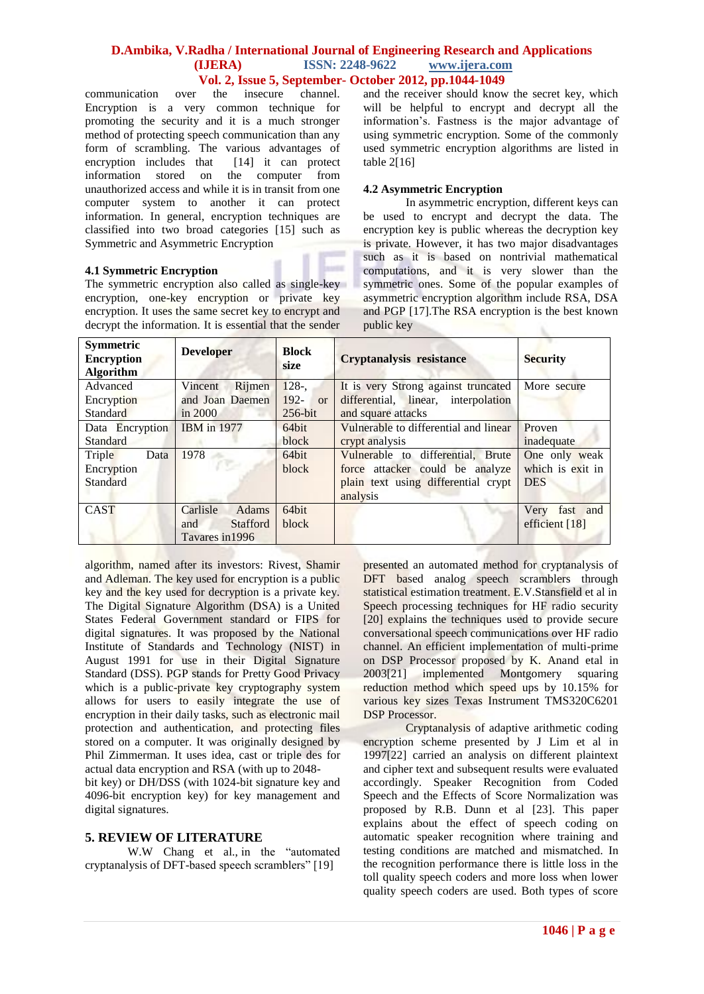communication over the insecure channel. Encryption is a very common technique for promoting the security and it is a much stronger method of protecting speech communication than any form of scrambling. The various advantages of encryption includes that [14] it can protect encryption includes that information stored on the computer from unauthorized access and while it is in transit from one computer system to another it can protect information. In general, encryption techniques are classified into two broad categories [15] such as Symmetric and Asymmetric Encryption

#### **4.1 Symmetric Encryption**

The symmetric encryption also called as single-key encryption, one-key encryption or private key encryption. It uses the same secret key to encrypt and decrypt the information. It is essential that the sender

and the receiver should know the secret key, which will be helpful to encrypt and decrypt all the information's. Fastness is the major advantage of using symmetric encryption. Some of the commonly used symmetric encryption algorithms are listed in table  $2[16]$ 

# **4.2 Asymmetric Encryption**

In asymmetric encryption, different keys can be used to encrypt and decrypt the data. The encryption key is public whereas the decryption key is private. However, it has two major disadvantages such as it is based on nontrivial mathematical computations, and it is very slower than the symmetric ones. Some of the popular examples of asymmetric encryption algorithm include RSA, DSA and PGP [17].The RSA encryption is the best known public key

| <b>Symmetric</b><br><b>Encryption</b><br><b>Algorithm</b> | <b>Developer</b>       | <b>Block</b><br>size | <b>Cryptanalysis resistance</b>       | <b>Security</b>     |
|-----------------------------------------------------------|------------------------|----------------------|---------------------------------------|---------------------|
| Advanced                                                  | Rijmen<br>Vincent      | $128-$               | It is very Strong against truncated   | More secure         |
| Encryption                                                | and Joan Daemen        | $192 -$ or           | differential, linear, interpolation   |                     |
| <b>Standard</b>                                           | in 2000                | $256$ -bit           | and square attacks                    |                     |
| Data Encryption                                           | <b>IBM</b> in 1977     | 64bit                | Vulnerable to differential and linear | Proven              |
| <b>Standard</b>                                           |                        | block                | crypt analysis                        | inadequate          |
| Triple<br>Data                                            | 1978                   | 64bit                | Vulnerable to differential, Brute     | One only weak       |
| Encryption                                                | n m                    | block                | force attacker could be analyze       | which is exit in    |
| Standard                                                  |                        |                      | plain text using differential crypt   | <b>DES</b>          |
|                                                           |                        |                      | analysis                              |                     |
| <b>CAST</b>                                               | Carlisle<br>Adams      | 64bit                |                                       | Very<br>fast<br>and |
|                                                           | <b>Stafford</b><br>and | block                |                                       | efficient [18]      |
|                                                           | Tavares in 1996        |                      |                                       |                     |

algorithm, named after its investors: Rivest, Shamir and Adleman. The key used for encryption is a public key and the key used for decryption is a private key. The Digital Signature Algorithm (DSA) is a United States Federal Government standard or FIPS for digital signatures. It was proposed by the National Institute of Standards and Technology (NIST) in August 1991 for use in their Digital Signature Standard (DSS). PGP stands for Pretty Good Privacy which is a public-private key cryptography system allows for users to easily integrate the use of encryption in their daily tasks, such as electronic mail protection and authentication, and protecting files stored on a computer. It was originally designed by Phil Zimmerman. It uses [idea,](file:///C:\Documents%20and%20Settings\ambikavijay\Application%20Data\speech%20coding%20comparative%20study\New%20Folder\encryption\Encryption%20algorithms%20%20%20Symmetric%20encryption%20%20%20Asymmetric%20encryption.htm%23IDEA) [cast](file:///C:\Documents%20and%20Settings\ambikavijay\Application%20Data\speech%20coding%20comparative%20study\New%20Folder\encryption\Encryption%20algorithms%20%20%20Symmetric%20encryption%20%20%20Asymmetric%20encryption.htm%23CAST) or [triple des](http://www.encryptionanddecryption.com/algorithms/encryption_algorithms.html#Triple_DES) for actual data encryption and RSA (with up to 2048-

bit key) or DH/DSS (with 1024-bit signature key and 4096-bit encryption key) for key management and digital signatures.

# **5. REVIEW OF LITERATURE**

W.W Chang et al., in the "automated cryptanalysis of DFT-based speech scramblers" [19]

presented an automated method for cryptanalysis of DFT based analog speech scramblers through statistical estimation treatment. E.V.Stansfield et al in Speech processing techniques for HF radio security [20] explains the techniques used to provide secure conversational speech communications over HF radio channel. An efficient implementation of multi-prime on DSP Processor proposed by K. Anand etal in 2003[21] implemented Montgomery squaring reduction method which speed ups by 10.15% for various key sizes Texas Instrument TMS320C6201 DSP Processor.

Cryptanalysis of adaptive arithmetic coding encryption scheme presented by J Lim et al in 1997[22] carried an analysis on different plaintext and cipher text and subsequent results were evaluated accordingly. Speaker Recognition from Coded Speech and the Effects of Score Normalization was proposed by R.B. Dunn et al [23]. This paper explains about the effect of speech coding on automatic speaker recognition where training and testing conditions are matched and mismatched. In the recognition performance there is little loss in the toll quality speech coders and more loss when lower quality speech coders are used. Both types of score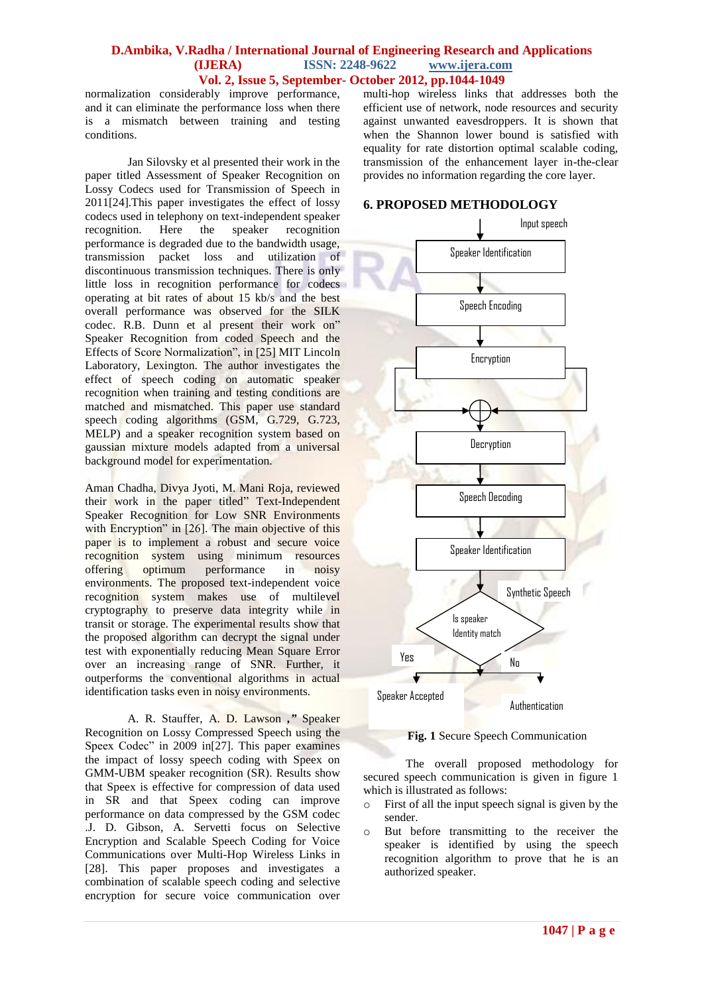normalization considerably improve performance, and it can eliminate the performance loss when there is a mismatch between training and testing conditions.

Jan Silovsky et al presented their work in the paper titled Assessment of Speaker Recognition on Lossy Codecs used for Transmission of Speech in 2011[24].This paper investigates the effect of lossy codecs used in telephony on text-independent speaker recognition. Here the speaker recognition performance is degraded due to the bandwidth usage, transmission packet loss and utilization of discontinuous transmission techniques. There is only little loss in recognition performance for codecs operating at bit rates of about 15 kb/s and the best overall performance was observed for the SILK codec. R.B. Dunn et al present their work on" Speaker Recognition from coded Speech and the Effects of Score Normalization", in [25] MIT Lincoln Laboratory, Lexington. The author investigates the effect of speech coding on automatic speaker recognition when training and testing conditions are matched and mismatched. This paper use standard speech coding algorithms (GSM, G.729, G.723, MELP) and a speaker recognition system based on gaussian mixture models adapted from a universal background model for experimentation.

Aman Chadha, Divya Jyoti, M. Mani Roja, reviewed their work in the paper titled" Text-Independent Speaker Recognition for Low SNR Environments with Encryption" in [26]. The main objective of this paper is to implement a robust and secure voice recognition system using minimum resources offering optimum performance in noisy environments. The proposed text-independent voice recognition system makes use of multilevel cryptography to preserve data integrity while in transit or storage. The experimental results show that the proposed algorithm can decrypt the signal under test with exponentially reducing Mean Square Error over an increasing range of SNR. Further, it outperforms the conventional algorithms in actual identification tasks even in noisy environments.

A. R. Stauffer, A. D. Lawson *,"* Speaker Recognition on Lossy Compressed Speech using the Speex Codec" in 2009 in[27]. This paper examines the impact of lossy speech coding with Speex on GMM-UBM speaker recognition (SR). Results show that Speex is effective for compression of data used in SR and that Speex coding can improve performance on data compressed by the GSM codec .J. D. Gibson, A. Servetti focus on Selective Encryption and Scalable Speech Coding for Voice Communications over Multi-Hop Wireless Links in [28]. This paper proposes and investigates a combination of scalable speech coding and selective encryption for secure voice communication over

multi-hop wireless links that addresses both the efficient use of network, node resources and security against unwanted eavesdroppers. It is shown that when the Shannon lower bound is satisfied with equality for rate distortion optimal scalable coding, transmission of the enhancement layer in-the-clear provides no information regarding the core layer.

# **6. PROPOSED METHODOLOGY**



**Fig. 1** Secure Speech Communication

The overall proposed methodology for secured speech communication is given in figure 1 which is illustrated as follows:

- o First of all the input speech signal is given by the sender.
- o But before transmitting to the receiver the speaker is identified by using the speech recognition algorithm to prove that he is an authorized speaker.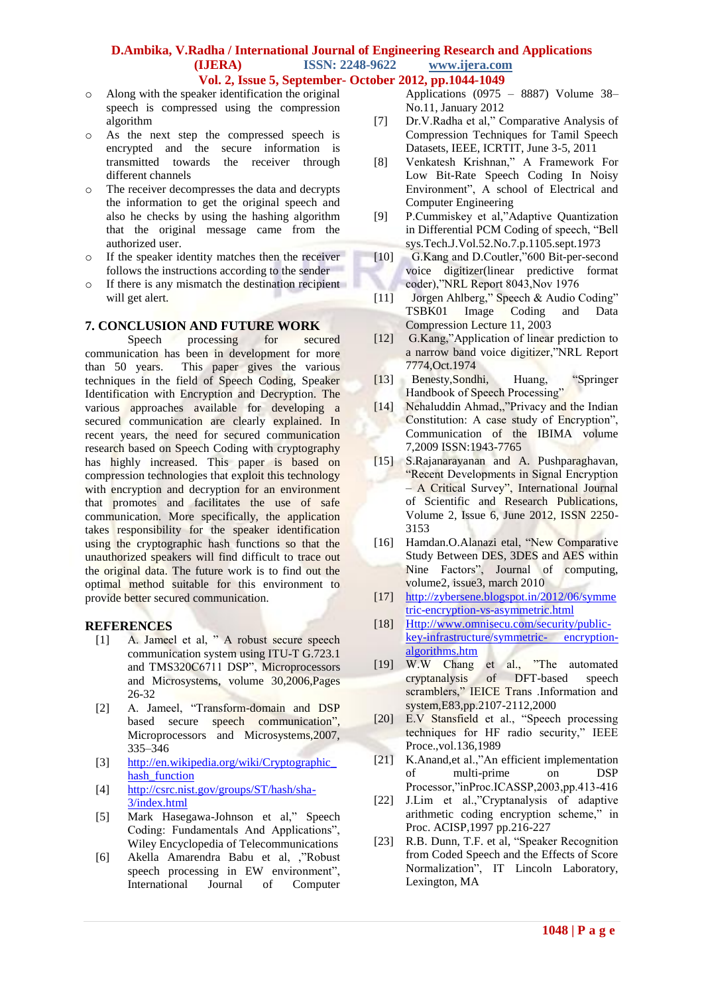- o Along with the speaker identification the original speech is compressed using the compression algorithm
- o As the next step the compressed speech is encrypted and the secure information is transmitted towards the receiver through different channels
- o The receiver decompresses the data and decrypts the information to get the original speech and also he checks by using the hashing algorithm that the original message came from the authorized user.
- o If the speaker identity matches then the receiver follows the instructions according to the sender
- o If there is any mismatch the destination recipient will get alert.

# **7. CONCLUSION AND FUTURE WORK**

Speech processing for secured communication has been in development for more than 50 years. This paper gives the various techniques in the field of Speech Coding, Speaker Identification with Encryption and Decryption. The various approaches available for developing a secured communication are clearly explained. In recent years, the need for secured communication research based on Speech Coding with cryptography has highly increased. This paper is based on compression technologies that exploit this technology with encryption and decryption for an environment that promotes and facilitates the use of safe communication. More specifically, the application takes responsibility for the speaker identification using the cryptographic hash functions so that the unauthorized speakers will find difficult to trace out the original data. The future work is to find out the optimal method suitable for this environment to provide better secured communication.

#### **REFERENCES**

- [1] A. Jameel et al, " A robust secure speech communication system using ITU-T G.723.1 and TMS320C6711 DSP", [Microprocessors](http://www.sciencedirect.com/science/journal/01419331)  [and Microsystems,](http://www.sciencedirect.com/science/journal/01419331) volume 30,2006,Pages 26-32
- [2] A. Jameel, "Transform-domain and DSP based secure speech communication", Microprocessors and Microsystems,2007, 335–346
- [3] [http://en.wikipedia.org/wiki/Cryptographic\\_](http://en.wikipedia.org/wiki/Cryptographic_hash_function) hash function
- [4] [http://csrc.nist.gov/groups/ST/hash/sha-](http://csrc.nist.gov/groups/ST/hash/sha-3/index.html)[3/index.html](http://csrc.nist.gov/groups/ST/hash/sha-3/index.html)
- [5] Mark Hasegawa-Johnson et al," Speech Coding: Fundamentals And Applications", Wiley Encyclopedia of Telecommunications
- [6] Akella Amarendra Babu et al, ,"Robust speech processing in EW environment", International Journal of Computer
- Applications (0975 8887) Volume 38– No.11, January 2012
- [7] Dr.V.Radha et al," Comparative Analysis of Compression Techniques for Tamil Speech Datasets, IEEE, ICRTIT, June 3-5, 2011
- [8] Venkatesh Krishnan," A Framework For Low Bit-Rate Speech Coding In Noisy Environment", A school of Electrical and Computer Engineering
- [9] P.Cummiskey et al,"Adaptive Quantization in Differential PCM Coding of speech, "Bell sys.Tech.J.Vol.52.No.7.p.1105.sept.1973
- [10] G.Kang and D.Coutler,"600 Bit-per-second voice digitizer(linear predictive format coder),"NRL Report 8043,Nov 1976
- [11] Jorgen Ahlberg," Speech & Audio Coding" TSBK01 Image Coding and Data Compression Lecture 11, 2003
- [12] G.Kang,"Application of linear prediction to a narrow band voice digitizer,"NRL Report 7774,Oct.1974
- [13] Benesty,Sondhi, Huang, "Springer Handbook of Speech Processing"
- [14] Nehaluddin Ahmad,,"Privacy and the Indian Constitution: A case study of Encryption", Communication of the IBIMA volume 7,2009 ISSN:1943-7765
- [15] S.Rajanarayanan and A. Pushparaghavan, "Recent Developments in Signal Encryption – A Critical Survey", International Journal of Scientific and Research Publications, Volume 2, Issue 6, June 2012, ISSN 2250- 3153
- [16] Hamdan.O.Alanazi etal, "New Comparative Study Between DES, 3DES and AES within Nine Factors", Journal of computing, volume2, issue3, march 2010
- [17] [http://zybersene.blogspot.in/2012/06/symme](http://zybersene.blogspot.in/2012/06/symmetric-encryption-vs-asymmetric.html) [tric-encryption-vs-asymmetric.html](http://zybersene.blogspot.in/2012/06/symmetric-encryption-vs-asymmetric.html)
- [18] [Http://www.omnisecu.com/security/public](http://www.omnisecu.com/security/public-key-infrastructure/symmetric-%20encryption-algorithms.htm)[key-infrastructure/symmetric-](http://www.omnisecu.com/security/public-key-infrastructure/symmetric-%20encryption-algorithms.htm) encryption[algorithms.htm](http://www.omnisecu.com/security/public-key-infrastructure/symmetric-%20encryption-algorithms.htm)
- [19] W.W Chang et al., "The automated cryptanalysis of DFT-based speech scramblers," IEICE Trans .Information and system,E83,pp.2107-2112,2000
- [20] E.V Stansfield et al., "Speech processing techniques for HF radio security," IEEE Proce.,vol.136,1989
- [21] K.Anand,et al.,"An efficient implementation of multi-prime on DSP Processor,"inProc.ICASSP,2003,pp.413-416
- [22] J.Lim et al.,"Cryptanalysis of adaptive arithmetic coding encryption scheme," in Proc. ACISP,1997 pp.216-227
- [23] R.B. Dunn, T.F. et al, "Speaker Recognition from Coded Speech and the Effects of Score Normalization", IT Lincoln Laboratory, Lexington, MA